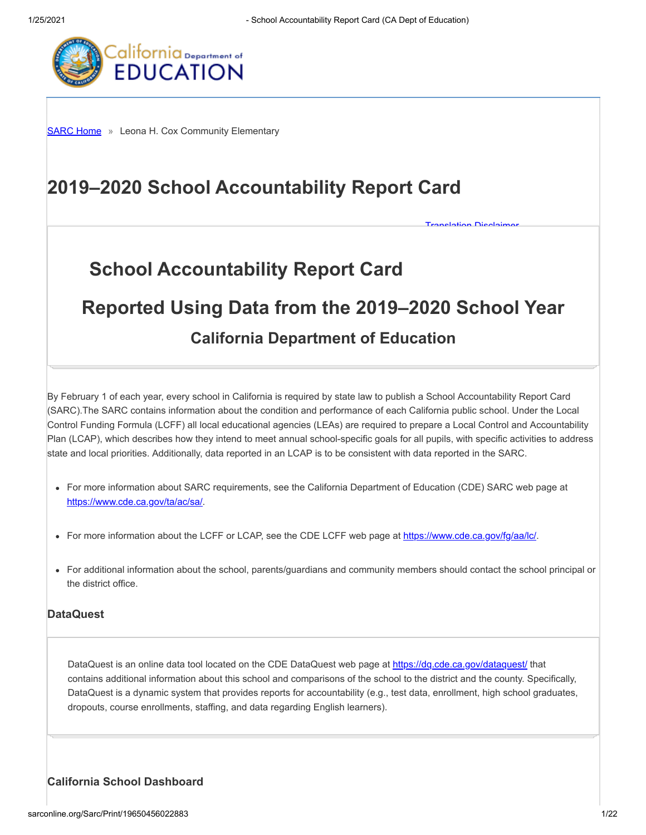**[Translation Disclaimer](http://sarconline.org/Home/Disclaimer)** 



**[SARC Home](http://sarconline.org/Home)** » Leona H. Cox Community Elementary

# **2019–2020 School Accountability Report Card**

# **School Accountability Report Card**

# **Reported Using Data from the 2019–2020 School Year**

# **California Department of Education**

By February 1 of each year, every school in California is required by state law to publish a School Accountability Report Card (SARC).The SARC contains information about the condition and performance of each California public school. Under the Local Control Funding Formula (LCFF) all local educational agencies (LEAs) are required to prepare a Local Control and Accountability Plan (LCAP), which describes how they intend to meet annual school-specific goals for all pupils, with specific activities to address state and local priorities. Additionally, data reported in an LCAP is to be consistent with data reported in the SARC.

- For more information about SARC requirements, see the California Department of Education (CDE) SARC web page at <https://www.cde.ca.gov/ta/ac/sa/>.
- For more information about the LCFF or LCAP, see the CDE LCFF web page at<https://www.cde.ca.gov/fg/aa/lc/>.
- For additional information about the school, parents/guardians and community members should contact the school principal or the district office.

#### **DataQuest**

DataQuest is an online data tool located on the CDE DataQuest web page at<https://dq.cde.ca.gov/dataquest/> that contains additional information about this school and comparisons of the school to the district and the county. Specifically, DataQuest is a dynamic system that provides reports for accountability (e.g., test data, enrollment, high school graduates, dropouts, course enrollments, staffing, and data regarding English learners).

#### **California School Dashboard**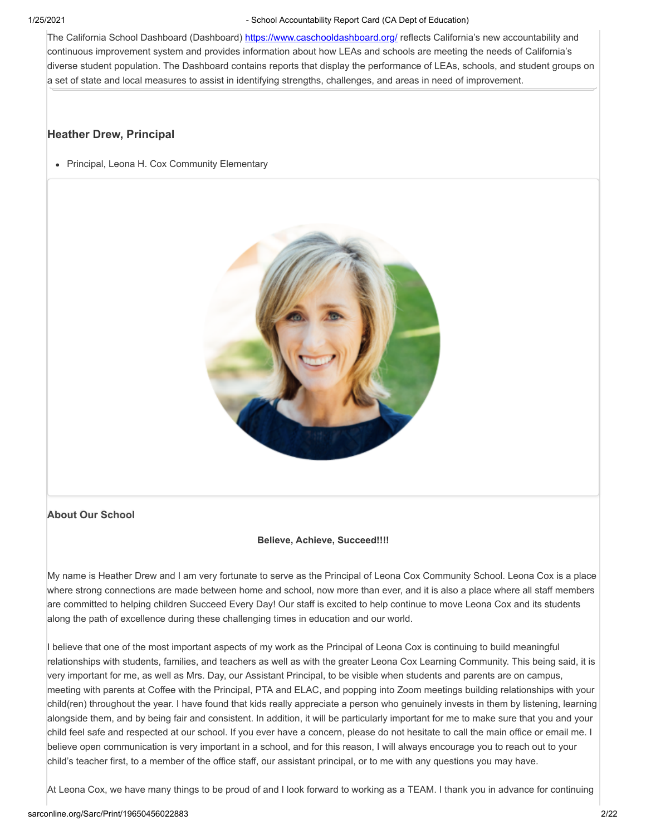The California School Dashboard (Dashboard)<https://www.caschooldashboard.org/> reflects California's new accountability and continuous improvement system and provides information about how LEAs and schools are meeting the needs of California's diverse student population. The Dashboard contains reports that display the performance of LEAs, schools, and student groups on a set of state and local measures to assist in identifying strengths, challenges, and areas in need of improvement.

#### **Heather Drew, Principal**

• Principal, Leona H. Cox Community Elementary



#### **About Our School**

#### **Believe, Achieve, Succeed!!!!**

My name is Heather Drew and I am very fortunate to serve as the Principal of Leona Cox Community School. Leona Cox is a place where strong connections are made between home and school, now more than ever, and it is also a place where all staff members are committed to helping children Succeed Every Day! Our staff is excited to help continue to move Leona Cox and its students along the path of excellence during these challenging times in education and our world.

I believe that one of the most important aspects of my work as the Principal of Leona Cox is continuing to build meaningful relationships with students, families, and teachers as well as with the greater Leona Cox Learning Community. This being said, it is very important for me, as well as Mrs. Day, our Assistant Principal, to be visible when students and parents are on campus, meeting with parents at Coffee with the Principal, PTA and ELAC, and popping into Zoom meetings building relationships with your child(ren) throughout the year. I have found that kids really appreciate a person who genuinely invests in them by listening, learning alongside them, and by being fair and consistent. In addition, it will be particularly important for me to make sure that you and your child feel safe and respected at our school. If you ever have a concern, please do not hesitate to call the main office or email me. I believe open communication is very important in a school, and for this reason, I will always encourage you to reach out to your child's teacher first, to a member of the office staff, our assistant principal, or to me with any questions you may have.

At Leona Cox, we have many things to be proud of and I look forward to working as a TEAM. I thank you in advance for continuing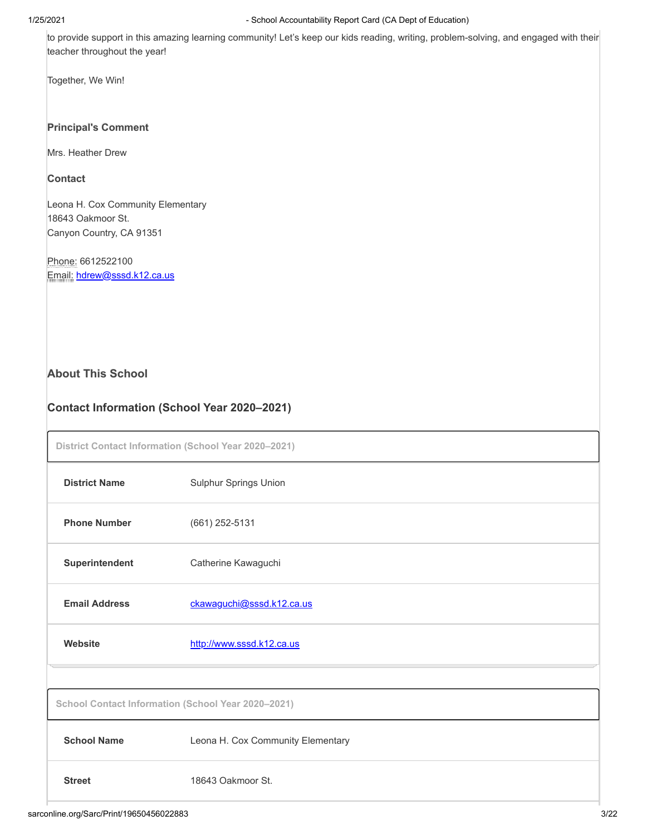to provide support in this amazing learning community! Let's keep our kids reading, writing, problem-solving, and engaged with their teacher throughout the year!

Together, We Win!

#### **Principal's Comment**

Mrs. Heather Drew

#### **Contact**

Leona H. Cox Community Elementary 18643 Oakmoor St. Canyon Country, CA 91351

Phone: 6612522100 Email: [hdrew@sssd.k12.ca.us](mailto:hdrew@sssd.k12.ca.us)

#### **About This School**

### **Contact Information (School Year 2020–2021)**

| District Contact Information (School Year 2020-2021) |                                                    |  |  |  |  |
|------------------------------------------------------|----------------------------------------------------|--|--|--|--|
| <b>District Name</b>                                 | <b>Sulphur Springs Union</b>                       |  |  |  |  |
| <b>Phone Number</b>                                  | $(661)$ 252-5131                                   |  |  |  |  |
| Superintendent                                       | Catherine Kawaguchi                                |  |  |  |  |
| <b>Email Address</b>                                 | ckawaguchi@sssd.k12.ca.us                          |  |  |  |  |
| Website                                              | http://www.sssd.k12.ca.us                          |  |  |  |  |
|                                                      |                                                    |  |  |  |  |
|                                                      | School Contact Information (School Year 2020-2021) |  |  |  |  |
| <b>School Name</b>                                   | Leona H. Cox Community Elementary                  |  |  |  |  |
| <b>Street</b>                                        | 18643 Oakmoor St.                                  |  |  |  |  |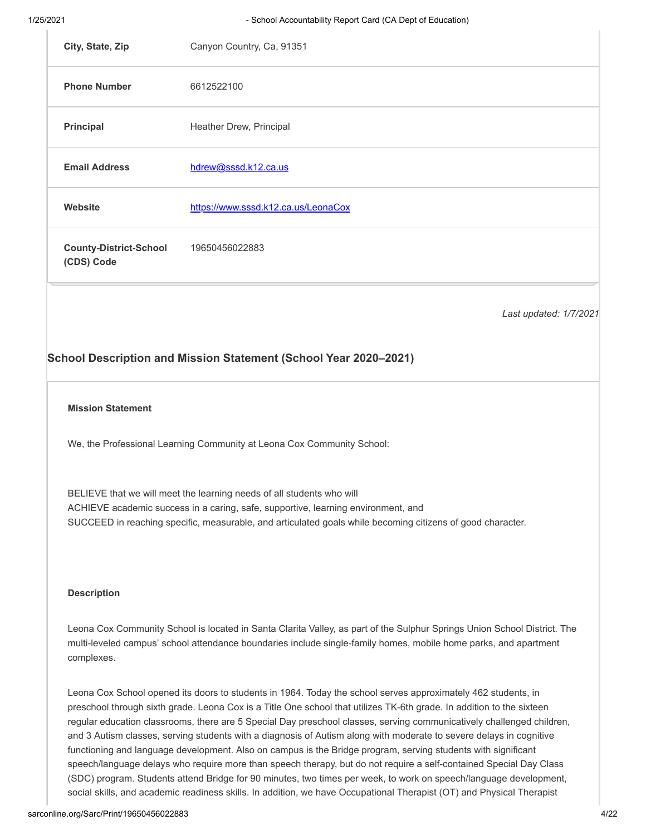|                                             | School Description and Mission Statement (School Year 2020-2021) |
|---------------------------------------------|------------------------------------------------------------------|
|                                             | Last updated: 1/7/2021                                           |
| <b>County-District-School</b><br>(CDS) Code | 19650456022883                                                   |
| Website                                     | https://www.sssd.k12.ca.us/LeonaCox                              |
| <b>Email Address</b>                        | hdrew@sssd.k12.ca.us                                             |
| Principal                                   | Heather Drew, Principal                                          |
| <b>Phone Number</b>                         | 6612522100                                                       |
| City, State, Zip                            | Canyon Country, Ca, 91351                                        |

#### **Mission Statement**

We, the Professional Learning Community at Leona Cox Community School:

BELIEVE that we will meet the learning needs of all students who will ACHIEVE academic success in a caring, safe, supportive, learning environment, and SUCCEED in reaching specific, measurable, and articulated goals while becoming citizens of good character.

#### **Description**

Leona Cox Community School is located in Santa Clarita Valley, as part of the Sulphur Springs Union School District. The multi-leveled campus' school attendance boundaries include single-family homes, mobile home parks, and apartment complexes.

Leona Cox School opened its doors to students in 1964. Today the school serves approximately 462 students, in preschool through sixth grade. Leona Cox is a Title One school that utilizes TK-6th grade. In addition to the sixteen regular education classrooms, there are 5 Special Day preschool classes, serving communicatively challenged children, and 3 Autism classes, serving students with a diagnosis of Autism along with moderate to severe delays in cognitive functioning and language development. Also on campus is the Bridge program, serving students with significant speech/language delays who require more than speech therapy, but do not require a self-contained Special Day Class (SDC) program. Students attend Bridge for 90 minutes, two times per week, to work on speech/language development, social skills, and academic readiness skills. In addition, we have Occupational Therapist (OT) and Physical Therapist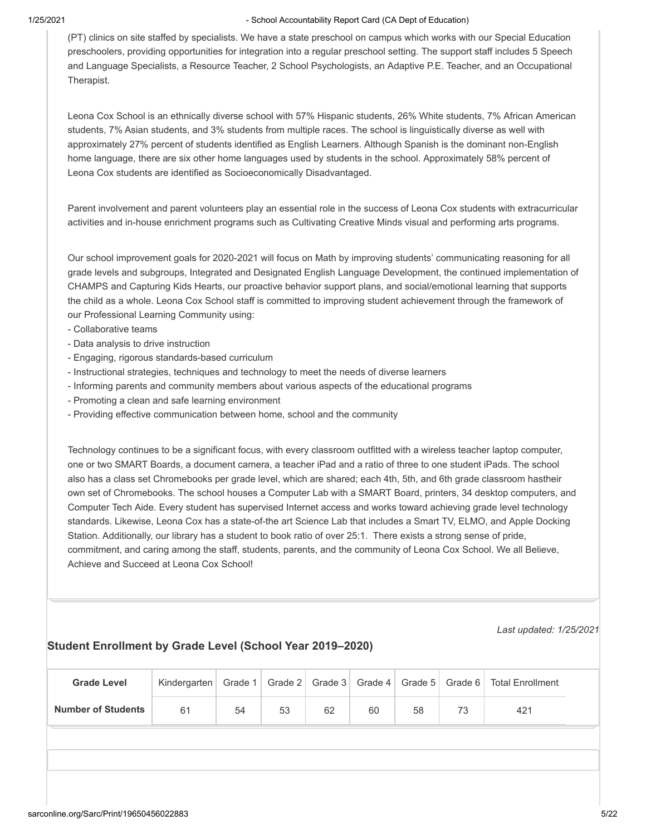(PT) clinics on site staffed by specialists. We have a state preschool on campus which works with our Special Education preschoolers, providing opportunities for integration into a regular preschool setting. The support staff includes 5 Speech and Language Specialists, a Resource Teacher, 2 School Psychologists, an Adaptive P.E. Teacher, and an Occupational Therapist.

Leona Cox School is an ethnically diverse school with 57% Hispanic students, 26% White students, 7% African American students, 7% Asian students, and 3% students from multiple races. The school is linguistically diverse as well with approximately 27% percent of students identified as English Learners. Although Spanish is the dominant non-English home language, there are six other home languages used by students in the school. Approximately 58% percent of Leona Cox students are identified as Socioeconomically Disadvantaged.

Parent involvement and parent volunteers play an essential role in the success of Leona Cox students with extracurricular activities and in-house enrichment programs such as Cultivating Creative Minds visual and performing arts programs.

Our school improvement goals for 2020-2021 will focus on Math by improving students' communicating reasoning for all grade levels and subgroups, Integrated and Designated English Language Development, the continued implementation of CHAMPS and Capturing Kids Hearts, our proactive behavior support plans, and social/emotional learning that supports the child as a whole. Leona Cox School staff is committed to improving student achievement through the framework of our Professional Learning Community using:

- Collaborative teams
- Data analysis to drive instruction
- Engaging, rigorous standards-based curriculum
- Instructional strategies, techniques and technology to meet the needs of diverse learners
- Informing parents and community members about various aspects of the educational programs
- Promoting a clean and safe learning environment
- Providing effective communication between home, school and the community

Technology continues to be a significant focus, with every classroom outfitted with a wireless teacher laptop computer, one or two SMART Boards, a document camera, a teacher iPad and a ratio of three to one student iPads. The school also has a class set Chromebooks per grade level, which are shared; each 4th, 5th, and 6th grade classroom hastheir own set of Chromebooks. The school houses a Computer Lab with a SMART Board, printers, 34 desktop computers, and Computer Tech Aide. Every student has supervised Internet access and works toward achieving grade level technology standards. Likewise, Leona Cox has a state-of-the art Science Lab that includes a Smart TV, ELMO, and Apple Docking Station. Additionally, our library has a student to book ratio of over 25:1. There exists a strong sense of pride, commitment, and caring among the staff, students, parents, and the community of Leona Cox School. We all Believe, Achieve and Succeed at Leona Cox School!

*Last updated: 1/25/2021*

#### **Student Enrollment by Grade Level (School Year 2019–2020)**

| <b>Grade Level</b>        | Kindergarten   | Grade 1 |    |    | Grade 2   Grade 3   Grade 4   Grade 5 |    | ∣ Grade 6 I | <b>Total Enrollment</b> |  |
|---------------------------|----------------|---------|----|----|---------------------------------------|----|-------------|-------------------------|--|
| <b>Number of Students</b> | 6 <sup>1</sup> | 54      | 53 | 62 | 60                                    | 58 | 70          | 421                     |  |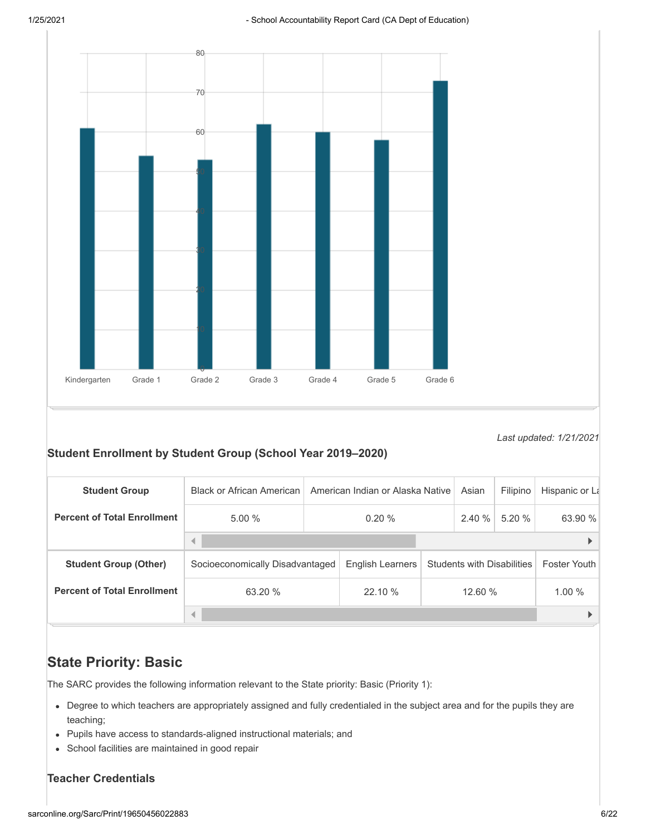

*Last updated: 1/21/2021*

#### **Student Enrollment by Student Group (School Year 2019–2020)**

| <b>Student Group</b>               | <b>Black or African American</b> | American Indian or Alaska Native |                  |  | Asian                             | Filipino | Hispanic or La      |
|------------------------------------|----------------------------------|----------------------------------|------------------|--|-----------------------------------|----------|---------------------|
| <b>Percent of Total Enrollment</b> | 5.00%                            | 0.20%                            |                  |  | 2.40%                             | 5.20%    | 63.90 %             |
|                                    |                                  |                                  |                  |  |                                   |          |                     |
| <b>Student Group (Other)</b>       | Socioeconomically Disadvantaged  |                                  | English Learners |  | <b>Students with Disabilities</b> |          | <b>Foster Youth</b> |
| <b>Percent of Total Enrollment</b> | 63.20 %                          | 22.10 %                          | 12.60 %          |  | 1.00%                             |          |                     |
|                                    | ◀                                |                                  |                  |  |                                   |          |                     |

## **State Priority: Basic**

The SARC provides the following information relevant to the State priority: Basic (Priority 1):

- Degree to which teachers are appropriately assigned and fully credentialed in the subject area and for the pupils they are teaching;
- Pupils have access to standards-aligned instructional materials; and
- School facilities are maintained in good repair

#### **Teacher Credentials**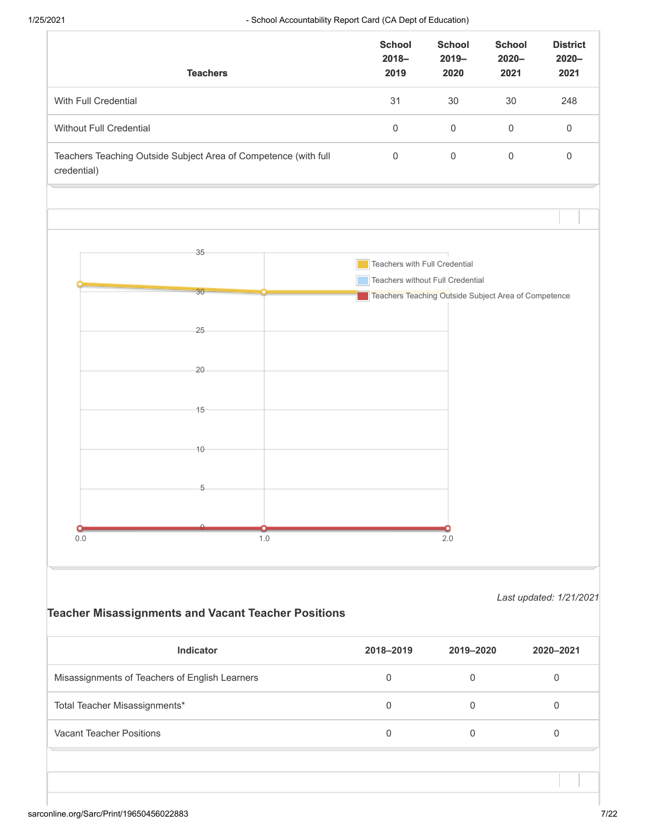|                               | <b>Teachers</b>                                                 |                                                            | <b>School</b><br>$2018 -$<br>2019          | <b>School</b><br>$2019 -$<br>2020                    | <b>School</b><br>$2020 -$<br>2021 | <b>District</b><br>$2020 -$<br>2021 |
|-------------------------------|-----------------------------------------------------------------|------------------------------------------------------------|--------------------------------------------|------------------------------------------------------|-----------------------------------|-------------------------------------|
| With Full Credential          |                                                                 | 31                                                         | 30                                         | 30                                                   | 248                               |                                     |
| Without Full Credential       |                                                                 |                                                            | $\mathsf{O}\xspace$                        | $\mathsf{O}\xspace$                                  | $\mathsf{O}\xspace$               | $\mathbf 0$                         |
| credential)                   | Teachers Teaching Outside Subject Area of Competence (with full |                                                            | $\mathsf{O}\xspace$<br>$\mathsf{O}\xspace$ |                                                      |                                   | $\mathbf 0$                         |
|                               |                                                                 |                                                            |                                            |                                                      |                                   |                                     |
|                               | 35                                                              |                                                            |                                            |                                                      |                                   |                                     |
|                               |                                                                 |                                                            | Teachers with Full Credential              |                                                      |                                   |                                     |
|                               |                                                                 |                                                            |                                            | Teachers without Full Credential                     |                                   |                                     |
|                               | 30                                                              |                                                            |                                            | Teachers Teaching Outside Subject Area of Competence |                                   |                                     |
|                               |                                                                 |                                                            |                                            |                                                      |                                   |                                     |
|                               | 25                                                              |                                                            |                                            |                                                      |                                   |                                     |
|                               |                                                                 |                                                            |                                            |                                                      |                                   |                                     |
|                               | 20                                                              |                                                            |                                            |                                                      |                                   |                                     |
|                               |                                                                 |                                                            |                                            |                                                      |                                   |                                     |
|                               | 15                                                              |                                                            |                                            |                                                      |                                   |                                     |
|                               |                                                                 |                                                            |                                            |                                                      |                                   |                                     |
|                               |                                                                 |                                                            |                                            |                                                      |                                   |                                     |
|                               | 10                                                              |                                                            |                                            |                                                      |                                   |                                     |
|                               |                                                                 |                                                            |                                            |                                                      |                                   |                                     |
|                               | 5                                                               |                                                            |                                            |                                                      |                                   |                                     |
|                               |                                                                 |                                                            |                                            |                                                      |                                   |                                     |
|                               |                                                                 |                                                            |                                            |                                                      |                                   |                                     |
| $0.0\,$                       |                                                                 | 1.0                                                        |                                            | 2.0                                                  |                                   |                                     |
|                               |                                                                 |                                                            |                                            |                                                      |                                   |                                     |
|                               |                                                                 |                                                            |                                            |                                                      |                                   |                                     |
|                               |                                                                 |                                                            |                                            |                                                      |                                   | Last updated: 1/21/2021             |
|                               |                                                                 | <b>Teacher Misassignments and Vacant Teacher Positions</b> |                                            |                                                      |                                   |                                     |
|                               | Indicator                                                       |                                                            | 2018-2019                                  | 2019-2020                                            |                                   | 2020-2021                           |
|                               | Misassignments of Teachers of English Learners                  |                                                            | $\,0\,$                                    | $\mathbf 0$                                          |                                   | $\mathbf 0$                         |
|                               |                                                                 |                                                            | $\mathbf 0$                                | $\mathsf{O}\xspace$                                  |                                   | $\mathsf{O}\xspace$                 |
| Total Teacher Misassignments* |                                                                 |                                                            |                                            |                                                      |                                   |                                     |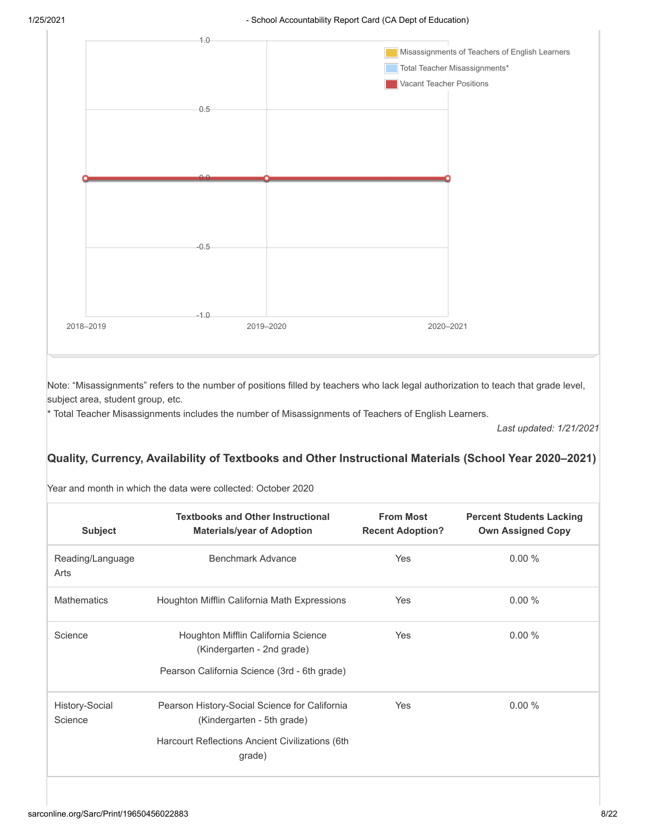

Note: "Misassignments" refers to the number of positions filled by teachers who lack legal authorization to teach that grade level, subject area, student group, etc.

\* Total Teacher Misassignments includes the number of Misassignments of Teachers of English Learners.

*Last updated: 1/21/2021*

#### **Quality, Currency, Availability of Textbooks and Other Instructional Materials (School Year 2020–2021)**

| Year and month in which the data were collected: October 2020 |  |
|---------------------------------------------------------------|--|
|---------------------------------------------------------------|--|

| <b>Subject</b>            | <b>Textbooks and Other Instructional</b><br><b>Materials/year of Adoption</b> | <b>From Most</b><br><b>Recent Adoption?</b> | <b>Percent Students Lacking</b><br><b>Own Assigned Copy</b> |
|---------------------------|-------------------------------------------------------------------------------|---------------------------------------------|-------------------------------------------------------------|
| Reading/Language<br>Arts  | Benchmark Advance                                                             | Yes                                         | 0.00%                                                       |
| <b>Mathematics</b>        | Houghton Mifflin California Math Expressions                                  | Yes                                         | 0.00%                                                       |
| Science                   | Houghton Mifflin California Science<br>(Kindergarten - 2nd grade)             | Yes                                         | 0.00%                                                       |
|                           | Pearson California Science (3rd - 6th grade)                                  |                                             |                                                             |
| History-Social<br>Science | Pearson History-Social Science for California<br>(Kindergarten - 5th grade)   | Yes                                         | $0.00\%$                                                    |
|                           | Harcourt Reflections Ancient Civilizations (6th<br>grade)                     |                                             |                                                             |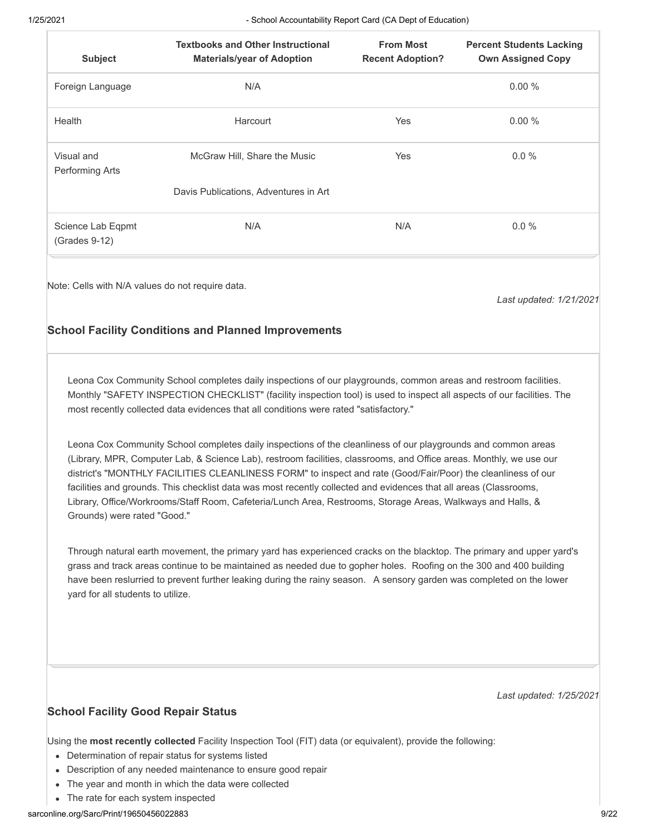| 1/25/2021                          | - School Accountability Report Card (CA Dept of Education)                                                                                                                                                                                                                                                                                                                                                                                                                                                                                                                               |                                             |                                                             |  |  |  |  |  |
|------------------------------------|------------------------------------------------------------------------------------------------------------------------------------------------------------------------------------------------------------------------------------------------------------------------------------------------------------------------------------------------------------------------------------------------------------------------------------------------------------------------------------------------------------------------------------------------------------------------------------------|---------------------------------------------|-------------------------------------------------------------|--|--|--|--|--|
| <b>Subject</b>                     | <b>Textbooks and Other Instructional</b><br><b>Materials/year of Adoption</b>                                                                                                                                                                                                                                                                                                                                                                                                                                                                                                            | <b>From Most</b><br><b>Recent Adoption?</b> | <b>Percent Students Lacking</b><br><b>Own Assigned Copy</b> |  |  |  |  |  |
| Foreign Language                   | N/A                                                                                                                                                                                                                                                                                                                                                                                                                                                                                                                                                                                      |                                             | 0.00 %                                                      |  |  |  |  |  |
| Health                             | Harcourt                                                                                                                                                                                                                                                                                                                                                                                                                                                                                                                                                                                 | Yes                                         | 0.00%                                                       |  |  |  |  |  |
| Visual and<br>Performing Arts      | McGraw Hill, Share the Music                                                                                                                                                                                                                                                                                                                                                                                                                                                                                                                                                             | Yes                                         | $0.0\%$                                                     |  |  |  |  |  |
|                                    | Davis Publications, Adventures in Art                                                                                                                                                                                                                                                                                                                                                                                                                                                                                                                                                    |                                             |                                                             |  |  |  |  |  |
| Science Lab Eqpmt<br>(Grades 9-12) | N/A                                                                                                                                                                                                                                                                                                                                                                                                                                                                                                                                                                                      | N/A                                         | $0.0 \%$                                                    |  |  |  |  |  |
|                                    | <b>School Facility Conditions and Planned Improvements</b>                                                                                                                                                                                                                                                                                                                                                                                                                                                                                                                               |                                             |                                                             |  |  |  |  |  |
|                                    | Leona Cox Community School completes daily inspections of our playgrounds, common areas and restroom facilities.<br>Monthly "SAFETY INSPECTION CHECKLIST" (facility inspection tool) is used to inspect all aspects of our facilities. The<br>most recently collected data evidences that all conditions were rated "satisfactory."                                                                                                                                                                                                                                                      |                                             |                                                             |  |  |  |  |  |
| Grounds) were rated "Good."        | Leona Cox Community School completes daily inspections of the cleanliness of our playgrounds and common areas<br>(Library, MPR, Computer Lab, & Science Lab), restroom facilities, classrooms, and Office areas. Monthly, we use our<br>district's "MONTHLY FACILITIES CLEANLINESS FORM" to inspect and rate (Good/Fair/Poor) the cleanliness of our<br>facilities and grounds. This checklist data was most recently collected and evidences that all areas (Classrooms,<br>Library, Office/Workrooms/Staff Room, Cafeteria/Lunch Area, Restrooms, Storage Areas, Walkways and Halls, & |                                             |                                                             |  |  |  |  |  |
|                                    | Through natural earth movement, the primary vard has experienced cracks on the blacktop. The primary and upper vard's                                                                                                                                                                                                                                                                                                                                                                                                                                                                    |                                             |                                                             |  |  |  |  |  |

Through natural earth movement, the primary yard has experienced cracks on the blacktop. The primary and upper yard's grass and track areas continue to be maintained as needed due to gopher holes. Roofing on the 300 and 400 building have been reslurried to prevent further leaking during the rainy season. A sensory garden was completed on the lower yard for all students to utilize.

*Last updated: 1/25/2021*

#### **School Facility Good Repair Status**

Using the **most recently collected** Facility Inspection Tool (FIT) data (or equivalent), provide the following:

- Determination of repair status for systems listed
- Description of any needed maintenance to ensure good repair
- The year and month in which the data were collected
- The rate for each system inspected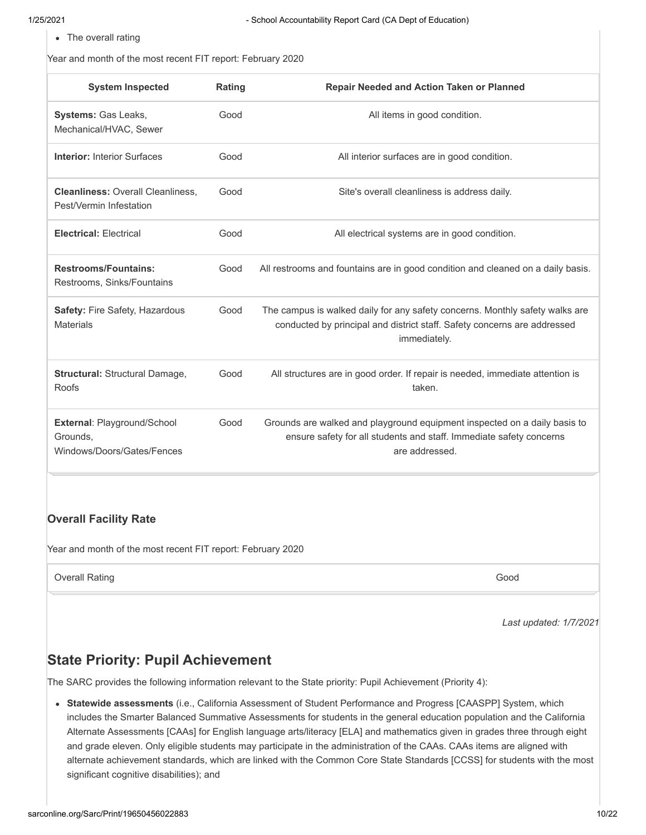• The overall rating

Year and month of the most recent FIT report: February 2020

| <b>System Inspected</b>                                               | Rating | Repair Needed and Action Taken or Planned                                                                                                                                |
|-----------------------------------------------------------------------|--------|--------------------------------------------------------------------------------------------------------------------------------------------------------------------------|
| Systems: Gas Leaks,<br>Mechanical/HVAC, Sewer                         | Good   | All items in good condition.                                                                                                                                             |
| <b>Interior: Interior Surfaces</b>                                    | Good   | All interior surfaces are in good condition.                                                                                                                             |
| <b>Cleanliness: Overall Cleanliness,</b><br>Pest/Vermin Infestation   | Good   | Site's overall cleanliness is address daily.                                                                                                                             |
| <b>Electrical: Electrical</b>                                         | Good   | All electrical systems are in good condition.                                                                                                                            |
| <b>Restrooms/Fountains:</b><br>Restrooms, Sinks/Fountains             | Good   | All restrooms and fountains are in good condition and cleaned on a daily basis.                                                                                          |
| Safety: Fire Safety, Hazardous<br><b>Materials</b>                    | Good   | The campus is walked daily for any safety concerns. Monthly safety walks are<br>conducted by principal and district staff. Safety concerns are addressed<br>immediately. |
| <b>Structural: Structural Damage,</b><br>Roofs                        | Good   | All structures are in good order. If repair is needed, immediate attention is<br>taken.                                                                                  |
| External: Playground/School<br>Grounds,<br>Windows/Doors/Gates/Fences | Good   | Grounds are walked and playground equipment inspected on a daily basis to<br>ensure safety for all students and staff. Immediate safety concerns<br>are addressed.       |

#### **Overall Facility Rate**

Year and month of the most recent FIT report: February 2020

**Overall Rating Good** Good Communication of the Communication of the Communication of the Cood

*Last updated: 1/7/2021*

# **State Priority: Pupil Achievement**

The SARC provides the following information relevant to the State priority: Pupil Achievement (Priority 4):

**Statewide assessments** (i.e., California Assessment of Student Performance and Progress [CAASPP] System, which includes the Smarter Balanced Summative Assessments for students in the general education population and the California Alternate Assessments [CAAs] for English language arts/literacy [ELA] and mathematics given in grades three through eight and grade eleven. Only eligible students may participate in the administration of the CAAs. CAAs items are aligned with alternate achievement standards, which are linked with the Common Core State Standards [CCSS] for students with the most significant cognitive disabilities); and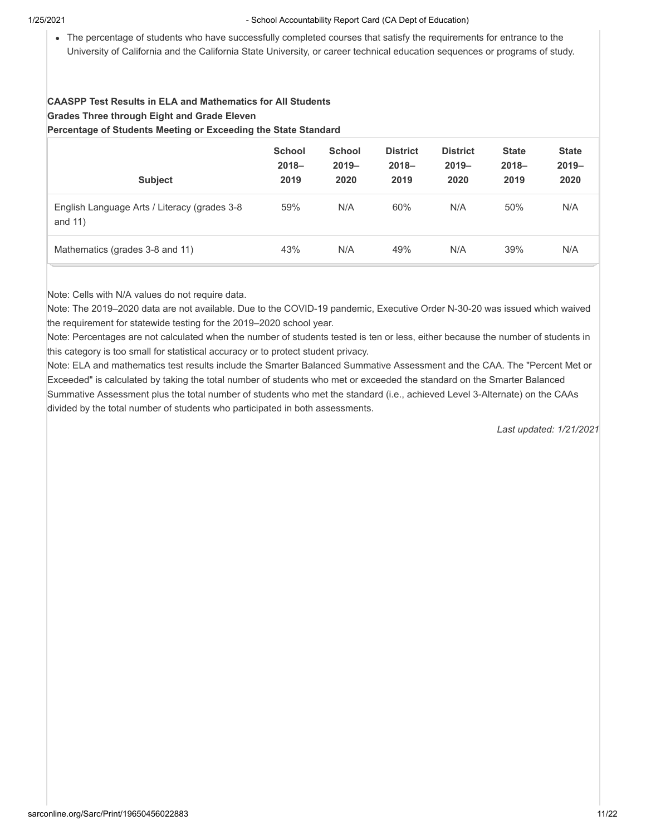The percentage of students who have successfully completed courses that satisfy the requirements for entrance to the University of California and the California State University, or career technical education sequences or programs of study.

#### **CAASPP Test Results in ELA and Mathematics for All Students Grades Three through Eight and Grade Eleven Percentage of Students Meeting or Exceeding the State Standard**

| <b>Subject</b>                                            | <b>School</b><br>$2018 -$<br>2019 | <b>School</b><br>$2019 -$<br>2020 | <b>District</b><br>$2018 -$<br>2019 | <b>District</b><br>$2019 -$<br>2020 | <b>State</b><br>$2018 -$<br>2019 | <b>State</b><br>$2019 -$<br>2020 |
|-----------------------------------------------------------|-----------------------------------|-----------------------------------|-------------------------------------|-------------------------------------|----------------------------------|----------------------------------|
| English Language Arts / Literacy (grades 3-8<br>and $11)$ | 59%                               | N/A                               | 60%                                 | N/A                                 | 50%                              | N/A                              |
| Mathematics (grades 3-8 and 11)                           | 43%                               | N/A                               | 49%                                 | N/A                                 | 39%                              | N/A                              |

Note: Cells with N/A values do not require data.

Note: The 2019–2020 data are not available. Due to the COVID-19 pandemic, Executive Order N-30-20 was issued which waived the requirement for statewide testing for the 2019–2020 school year.

Note: Percentages are not calculated when the number of students tested is ten or less, either because the number of students in this category is too small for statistical accuracy or to protect student privacy.

Note: ELA and mathematics test results include the Smarter Balanced Summative Assessment and the CAA. The "Percent Met or Exceeded" is calculated by taking the total number of students who met or exceeded the standard on the Smarter Balanced Summative Assessment plus the total number of students who met the standard (i.e., achieved Level 3-Alternate) on the CAAs divided by the total number of students who participated in both assessments.

*Last updated: 1/21/2021*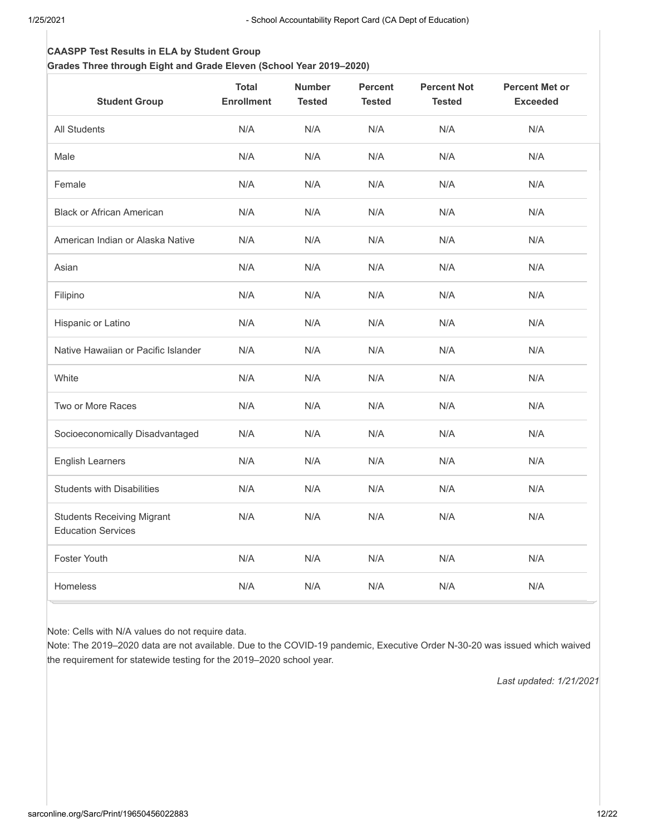### **CAASPP Test Results in ELA by Student Group**

**Grades Three through Eight and Grade Eleven (School Year 2019–2020)**

| <b>Student Group</b>                                           | <b>Total</b><br><b>Enrollment</b> | <b>Number</b><br><b>Tested</b> | <b>Percent</b><br><b>Tested</b> | <b>Percent Not</b><br><b>Tested</b> | <b>Percent Met or</b><br><b>Exceeded</b> |
|----------------------------------------------------------------|-----------------------------------|--------------------------------|---------------------------------|-------------------------------------|------------------------------------------|
| <b>All Students</b>                                            | N/A                               | N/A                            | N/A                             | N/A                                 | N/A                                      |
| Male                                                           | N/A                               | N/A                            | N/A                             | N/A                                 | N/A                                      |
| Female                                                         | N/A                               | N/A                            | N/A                             | N/A                                 | N/A                                      |
| <b>Black or African American</b>                               | N/A                               | N/A                            | N/A                             | N/A                                 | N/A                                      |
| American Indian or Alaska Native                               | N/A                               | N/A                            | N/A                             | N/A                                 | N/A                                      |
| Asian                                                          | N/A                               | N/A                            | N/A                             | N/A                                 | N/A                                      |
| Filipino                                                       | N/A                               | N/A                            | N/A                             | N/A                                 | N/A                                      |
| Hispanic or Latino                                             | N/A                               | N/A                            | N/A                             | N/A                                 | N/A                                      |
| Native Hawaiian or Pacific Islander                            | N/A                               | N/A                            | N/A                             | N/A                                 | N/A                                      |
| White                                                          | N/A                               | N/A                            | N/A                             | N/A                                 | N/A                                      |
| Two or More Races                                              | N/A                               | N/A                            | N/A                             | N/A                                 | N/A                                      |
| Socioeconomically Disadvantaged                                | N/A                               | N/A                            | N/A                             | N/A                                 | N/A                                      |
| <b>English Learners</b>                                        | N/A                               | N/A                            | N/A                             | N/A                                 | N/A                                      |
| <b>Students with Disabilities</b>                              | N/A                               | N/A                            | N/A                             | N/A                                 | N/A                                      |
| <b>Students Receiving Migrant</b><br><b>Education Services</b> | N/A                               | N/A                            | N/A                             | N/A                                 | N/A                                      |
| <b>Foster Youth</b>                                            | N/A                               | N/A                            | N/A                             | N/A                                 | N/A                                      |
| Homeless                                                       | N/A                               | N/A                            | N/A                             | N/A                                 | N/A                                      |

Note: Cells with N/A values do not require data.

Note: The 2019–2020 data are not available. Due to the COVID-19 pandemic, Executive Order N-30-20 was issued which waived the requirement for statewide testing for the 2019–2020 school year.

*Last updated: 1/21/2021*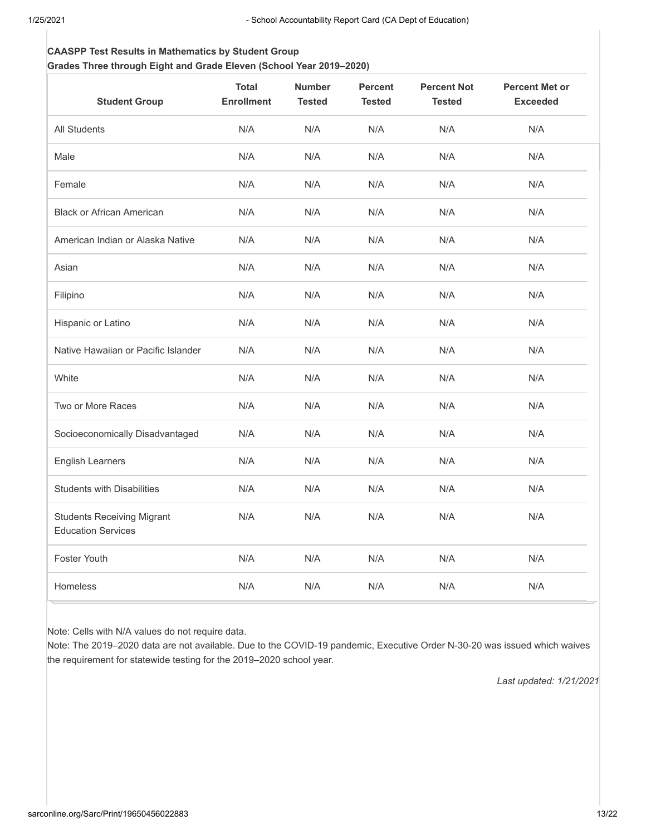#### **CAASPP Test Results in Mathematics by Student Group Grades Three through Eight and Grade Eleven (School Year 2019–2020)**

| <b>Student Group</b>                                           | <b>Total</b><br><b>Enrollment</b> | <b>Number</b><br><b>Tested</b> | <b>Percent</b><br><b>Tested</b> | <b>Percent Not</b><br><b>Tested</b> | <b>Percent Met or</b><br><b>Exceeded</b> |
|----------------------------------------------------------------|-----------------------------------|--------------------------------|---------------------------------|-------------------------------------|------------------------------------------|
| All Students                                                   | N/A                               | N/A                            | N/A                             | N/A                                 | N/A                                      |
| Male                                                           | N/A                               | N/A                            | N/A                             | N/A                                 | N/A                                      |
| Female                                                         | N/A                               | N/A                            | N/A                             | N/A                                 | N/A                                      |
| <b>Black or African American</b>                               | N/A                               | N/A                            | N/A                             | N/A                                 | N/A                                      |
| American Indian or Alaska Native                               | N/A                               | N/A                            | N/A                             | N/A                                 | N/A                                      |
| Asian                                                          | N/A                               | N/A                            | N/A                             | N/A                                 | N/A                                      |
| Filipino                                                       | N/A                               | N/A                            | N/A                             | N/A                                 | N/A                                      |
| Hispanic or Latino                                             | N/A                               | N/A                            | N/A                             | N/A                                 | N/A                                      |
| Native Hawaiian or Pacific Islander                            | N/A                               | N/A                            | N/A                             | N/A                                 | N/A                                      |
| White                                                          | N/A                               | N/A                            | N/A                             | N/A                                 | N/A                                      |
| Two or More Races                                              | N/A                               | N/A                            | N/A                             | N/A                                 | N/A                                      |
| Socioeconomically Disadvantaged                                | N/A                               | N/A                            | N/A                             | N/A                                 | N/A                                      |
| <b>English Learners</b>                                        | N/A                               | N/A                            | N/A                             | N/A                                 | N/A                                      |
| <b>Students with Disabilities</b>                              | N/A                               | N/A                            | N/A                             | N/A                                 | N/A                                      |
| <b>Students Receiving Migrant</b><br><b>Education Services</b> | N/A                               | N/A                            | N/A                             | N/A                                 | N/A                                      |
| <b>Foster Youth</b>                                            | N/A                               | N/A                            | N/A                             | N/A                                 | N/A                                      |
| Homeless                                                       | N/A                               | N/A                            | N/A                             | N/A                                 | N/A                                      |

Note: Cells with N/A values do not require data.

Note: The 2019–2020 data are not available. Due to the COVID-19 pandemic, Executive Order N-30-20 was issued which waives the requirement for statewide testing for the 2019–2020 school year.

*Last updated: 1/21/2021*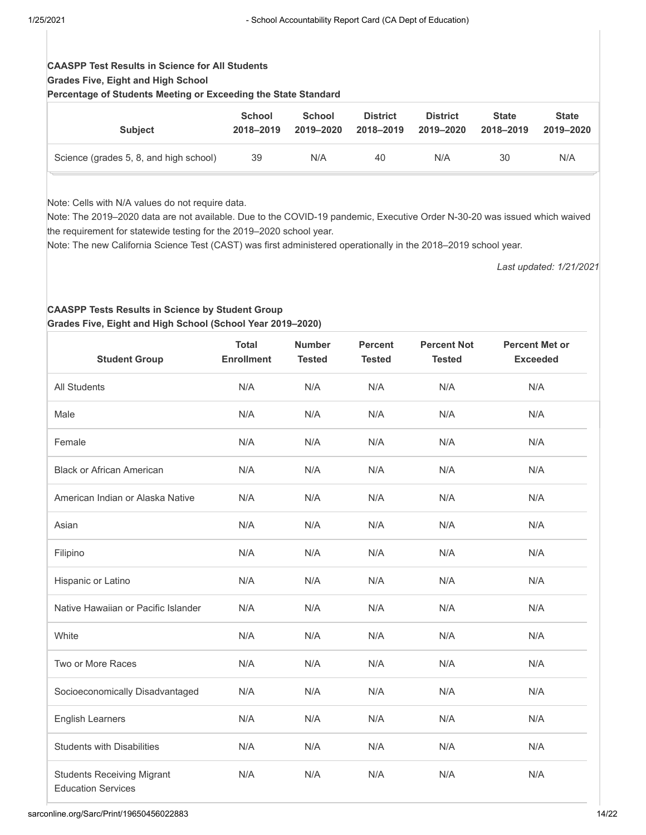## **CAASPP Test Results in Science for All Students Grades Five, Eight and High School**

**Percentage of Students Meeting or Exceeding the State Standard**

| <b>Subject</b>                         | <b>School</b> | <b>School</b> | <b>District</b> | <b>District</b> | <b>State</b> | <b>State</b> |
|----------------------------------------|---------------|---------------|-----------------|-----------------|--------------|--------------|
|                                        | 2018-2019     | 2019-2020     | 2018-2019       | 2019–2020       | 2018-2019    | 2019-2020    |
| Science (grades 5, 8, and high school) | 39            | N/A           | 40              | N/A             | 30           | N/A          |

Note: Cells with N/A values do not require data.

Note: The 2019–2020 data are not available. Due to the COVID-19 pandemic, Executive Order N-30-20 was issued which waived the requirement for statewide testing for the 2019–2020 school year.

Note: The new California Science Test (CAST) was first administered operationally in the 2018–2019 school year.

*Last updated: 1/21/2021*

#### **CAASPP Tests Results in Science by Student Group Grades Five, Eight and High School (School Year 2019–2020)**

| <b>Student Group</b>                                           | <b>Total</b><br><b>Enrollment</b> | <b>Number</b><br><b>Tested</b> | <b>Percent</b><br><b>Tested</b> | <b>Percent Not</b><br><b>Tested</b> | <b>Percent Met or</b><br><b>Exceeded</b> |
|----------------------------------------------------------------|-----------------------------------|--------------------------------|---------------------------------|-------------------------------------|------------------------------------------|
| <b>All Students</b>                                            | N/A                               | N/A                            | N/A                             | N/A                                 | N/A                                      |
| Male                                                           | N/A                               | N/A                            | N/A                             | N/A                                 | N/A                                      |
| Female                                                         | N/A                               | N/A                            | N/A                             | N/A                                 | N/A                                      |
| <b>Black or African American</b>                               | N/A                               | N/A                            | N/A                             | N/A                                 | N/A                                      |
| American Indian or Alaska Native                               | N/A                               | N/A                            | N/A                             | N/A                                 | N/A                                      |
| Asian                                                          | N/A                               | N/A                            | N/A                             | N/A                                 | N/A                                      |
| Filipino                                                       | N/A                               | N/A                            | N/A                             | N/A                                 | N/A                                      |
| Hispanic or Latino                                             | N/A                               | N/A                            | N/A                             | N/A                                 | N/A                                      |
| Native Hawaiian or Pacific Islander                            | N/A                               | N/A                            | N/A                             | N/A                                 | N/A                                      |
| White                                                          | N/A                               | N/A                            | N/A                             | N/A                                 | N/A                                      |
| Two or More Races                                              | N/A                               | N/A                            | N/A                             | N/A                                 | N/A                                      |
| Socioeconomically Disadvantaged                                | N/A                               | N/A                            | N/A                             | N/A                                 | N/A                                      |
| <b>English Learners</b>                                        | N/A                               | N/A                            | N/A                             | N/A                                 | N/A                                      |
| <b>Students with Disabilities</b>                              | N/A                               | N/A                            | N/A                             | N/A                                 | N/A                                      |
| <b>Students Receiving Migrant</b><br><b>Education Services</b> | N/A                               | N/A                            | N/A                             | N/A                                 | N/A                                      |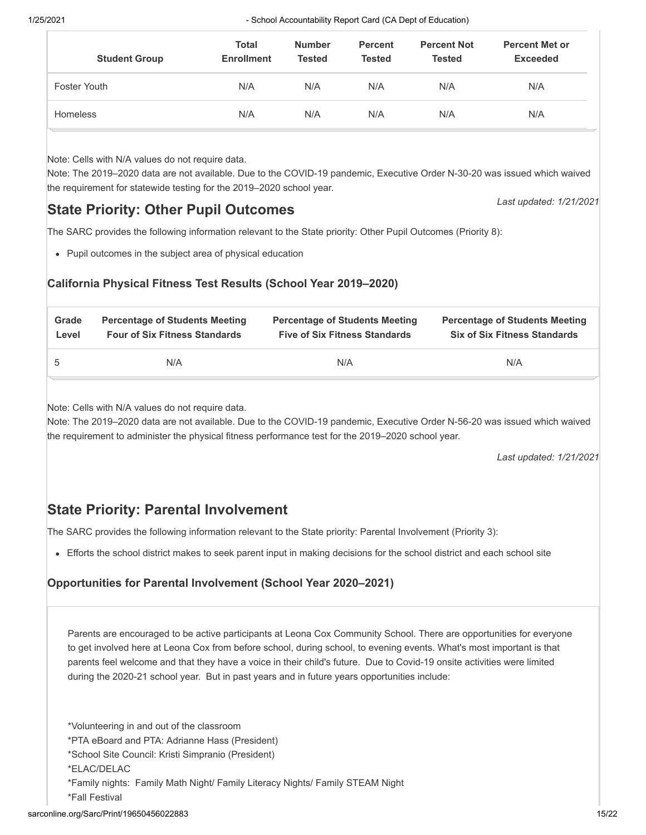| <b>Student Group</b> | <b>Total</b><br><b>Enrollment</b> | <b>Number</b><br><b>Tested</b> | <b>Percent</b><br><b>Tested</b> | <b>Percent Not</b><br><b>Tested</b> | <b>Percent Met or</b><br><b>Exceeded</b> |
|----------------------|-----------------------------------|--------------------------------|---------------------------------|-------------------------------------|------------------------------------------|
| Foster Youth         | N/A                               | N/A                            | N/A                             | N/A                                 | N/A                                      |
| <b>Homeless</b>      | N/A                               | N/A                            | N/A                             | N/A                                 | N/A                                      |

Note: Cells with N/A values do not require data.

Note: The 2019–2020 data are not available. Due to the COVID-19 pandemic, Executive Order N-30-20 was issued which waived the requirement for statewide testing for the 2019–2020 school year.

# **State Priority: Other Pupil Outcomes**

The SARC provides the following information relevant to the State priority: Other Pupil Outcomes (Priority 8):

Pupil outcomes in the subject area of physical education

#### **California Physical Fitness Test Results (School Year 2019–2020)**

| Grade | <b>Percentage of Students Meeting</b> | <b>Percentage of Students Meeting</b> | <b>Percentage of Students Meeting</b> |
|-------|---------------------------------------|---------------------------------------|---------------------------------------|
| Level | <b>Four of Six Fitness Standards</b>  | <b>Five of Six Fitness Standards</b>  | <b>Six of Six Fitness Standards</b>   |
| 5     | N/A                                   | N/A                                   | N/A                                   |

Note: Cells with N/A values do not require data.

Note: The 2019–2020 data are not available. Due to the COVID-19 pandemic, Executive Order N-56-20 was issued which waived the requirement to administer the physical fitness performance test for the 2019–2020 school year.

*Last updated: 1/21/2021*

*Last updated: 1/21/2021*

# **State Priority: Parental Involvement**

The SARC provides the following information relevant to the State priority: Parental Involvement (Priority 3):

Efforts the school district makes to seek parent input in making decisions for the school district and each school site

#### **Opportunities for Parental Involvement (School Year 2020–2021)**

Parents are encouraged to be active participants at Leona Cox Community School. There are opportunities for everyone to get involved here at Leona Cox from before school, during school, to evening events. What's most important is that parents feel welcome and that they have a voice in their child's future. Due to Covid-19 onsite activities were limited during the 2020-21 school year. But in past years and in future years opportunities include:

\*Volunteering in and out of the classroom \*PTA eBoard and PTA: Adrianne Hass (President) \*School Site Council: Kristi Simpranio (President) \*ELAC/DELAC \*Family nights: Family Math Night/ Family Literacy Nights/ Family STEAM Night \*Fall Festival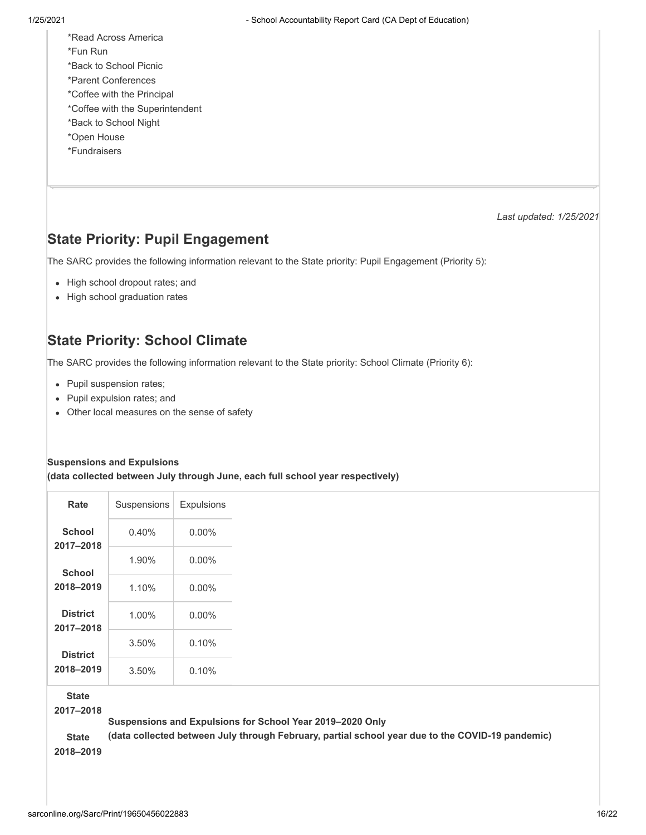\*Read Across America \*Fun Run \*Back to School Picnic \*Parent Conferences \*Coffee with the Principal \*Coffee with the Superintendent \*Back to School Night \*Open House \*Fundraisers

*Last updated: 1/25/2021*

# **State Priority: Pupil Engagement**

The SARC provides the following information relevant to the State priority: Pupil Engagement (Priority 5):

- High school dropout rates; and
- High school graduation rates

# **State Priority: School Climate**

The SARC provides the following information relevant to the State priority: School Climate (Priority 6):

- Pupil suspension rates;
- Pupil expulsion rates; and
- Other local measures on the sense of safety

#### **Suspensions and Expulsions**

**(data collected between July through June, each full school year respectively)**

| Rate                         | Suspensions | <b>Expulsions</b> |
|------------------------------|-------------|-------------------|
| School<br>2017-2018          | 0.40%       | $0.00\%$          |
| <b>School</b>                | 1.90%       | $0.00\%$          |
| 2018-2019                    | 1.10%       | $0.00\%$          |
| <b>District</b><br>2017-2018 | $1.00\%$    | $0.00\%$          |
| <b>District</b>              | 3.50%       | 0.10%             |
| 2018-2019                    | 3.50%       | 0.10%             |

**State**

**2017–2018**

**Suspensions and Expulsions for School Year 2019–2020 Only**

**(data collected between July through February, partial school year due to the COVID-19 pandemic) State 2018–2019**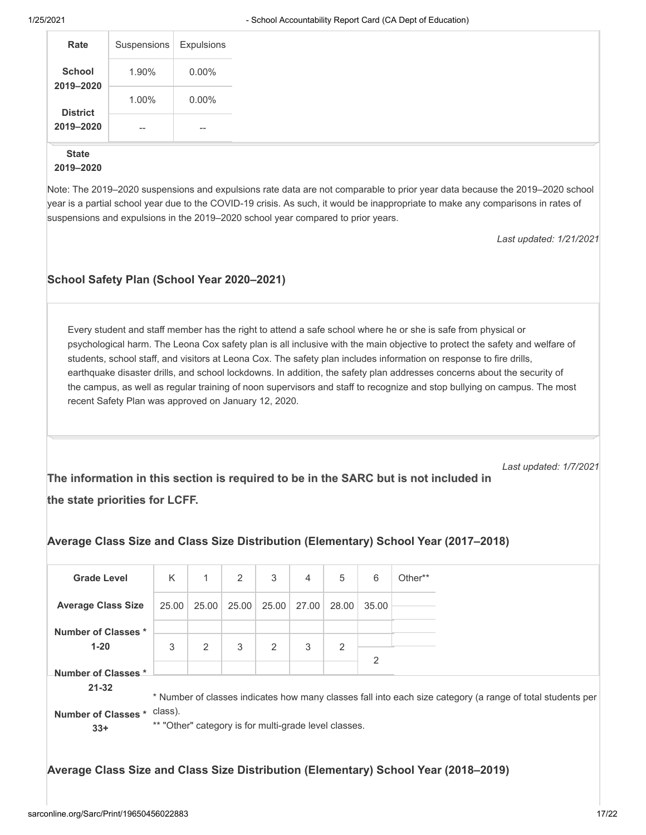| Rate                | Suspensions              | Expulsions                            |
|---------------------|--------------------------|---------------------------------------|
| School<br>2019-2020 | 1.90%                    | $0.00\%$                              |
| <b>District</b>     | 1.00%                    | $0.00\%$                              |
| 2019-2020           | $\hspace{0.05cm} \ldots$ | $\hspace{0.05cm}$ – $\hspace{0.05cm}$ |

#### **State 2019–2020**

Note: The 2019–2020 suspensions and expulsions rate data are not comparable to prior year data because the 2019–2020 school year is a partial school year due to the COVID-19 crisis. As such, it would be inappropriate to make any comparisons in rates of suspensions and expulsions in the 2019–2020 school year compared to prior years.

*Last updated: 1/21/2021*

#### **School Safety Plan (School Year 2020–2021)**

Every student and staff member has the right to attend a safe school where he or she is safe from physical or psychological harm. The Leona Cox safety plan is all inclusive with the main objective to protect the safety and welfare of students, school staff, and visitors at Leona Cox. The safety plan includes information on response to fire drills, earthquake disaster drills, and school lockdowns. In addition, the safety plan addresses concerns about the security of the campus, as well as regular training of noon supervisors and staff to recognize and stop bullying on campus. The most recent Safety Plan was approved on January 12, 2020.

*Last updated: 1/7/2021*

**The information in this section is required to be in the SARC but is not included in the state priorities for LCFF.**

| <b>Grade Level</b>                                                                                                                                                                                                    | K     | 1     | 2     | 3     | 4     | 5     | 6              | Other** |
|-----------------------------------------------------------------------------------------------------------------------------------------------------------------------------------------------------------------------|-------|-------|-------|-------|-------|-------|----------------|---------|
| <b>Average Class Size</b>                                                                                                                                                                                             | 25.00 | 25.00 | 25.00 | 25.00 | 27.00 | 28.00 | 35.00          |         |
| Number of Classes *                                                                                                                                                                                                   |       |       |       |       |       |       |                |         |
| $1 - 20$                                                                                                                                                                                                              | 3     | 2     | 3     | 2     | 3     | 2     | $\overline{2}$ |         |
| Number of Classes*<br>$21 - 32$                                                                                                                                                                                       |       |       |       |       |       |       |                |         |
| * Number of classes indicates how many classes fall into each size category (a range of total students per<br>class).<br><b>Number of Classes *</b><br>** "Other" category is for multi-grade level classes.<br>$33+$ |       |       |       |       |       |       |                |         |

#### **Average Class Size and Class Size Distribution (Elementary) School Year (2017–2018)**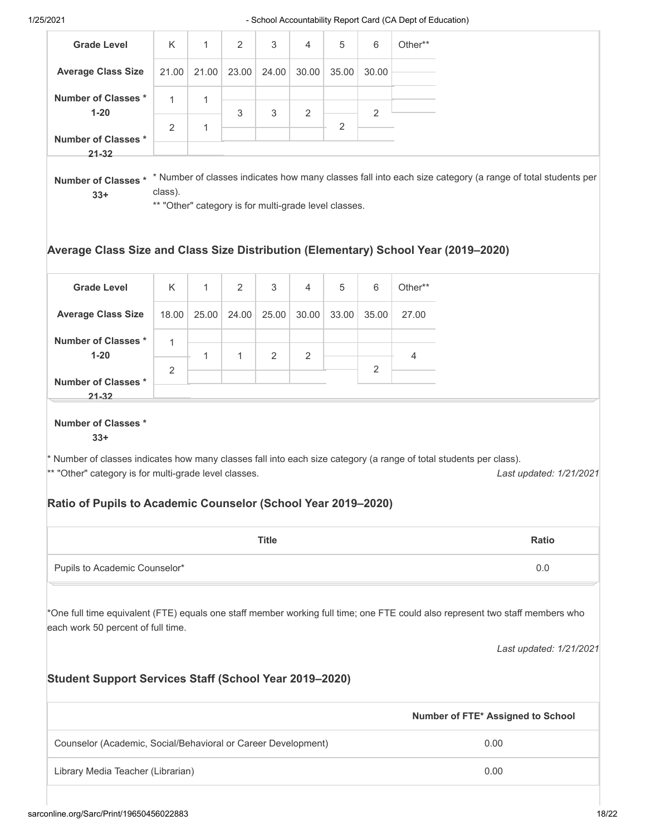|                                                                                                                                 |                                                                  |              |                |              |                |                |                | - School Accountability Report Card (CA Dept of Education)                                                                    |                         |
|---------------------------------------------------------------------------------------------------------------------------------|------------------------------------------------------------------|--------------|----------------|--------------|----------------|----------------|----------------|-------------------------------------------------------------------------------------------------------------------------------|-------------------------|
| <b>Grade Level</b>                                                                                                              | Κ                                                                | 1            | $\overline{2}$ | 3            | 4              | 5              | 6              | Other**                                                                                                                       |                         |
| <b>Average Class Size</b>                                                                                                       | 21.00                                                            | 21.00        | 23.00          | 24.00        | 30.00          | 35.00          | 30.00          |                                                                                                                               |                         |
| <b>Number of Classes *</b>                                                                                                      | $\mathbf{1}$                                                     | 1            |                |              |                |                |                |                                                                                                                               |                         |
| $1 - 20$                                                                                                                        | $\overline{2}$                                                   | 1            | 3              | 3            | $\overline{2}$ | $\overline{2}$ | $\overline{2}$ |                                                                                                                               |                         |
| <b>Number of Classes *</b><br>$21 - 32$                                                                                         |                                                                  |              |                |              |                |                |                |                                                                                                                               |                         |
| Number of Classes*<br>$33+$                                                                                                     | class).<br>** "Other" category is for multi-grade level classes. |              |                |              |                |                |                | * Number of classes indicates how many classes fall into each size category (a range of total students per                    |                         |
| <b>Grade Level</b>                                                                                                              | K                                                                | $\mathbf{1}$ | 2              | 3            | 4              | 5              | 6              | Average Class Size and Class Size Distribution (Elementary) School Year (2019-2020)<br>Other**                                |                         |
| <b>Average Class Size</b>                                                                                                       | 18.00                                                            | 25.00        | 24.00          | 25.00        | 30.00          | 33.00          | 35.00          | 27.00                                                                                                                         |                         |
| <b>Number of Classes *</b>                                                                                                      | $\mathbf{1}$                                                     |              |                |              |                |                |                |                                                                                                                               |                         |
| $1 - 20$                                                                                                                        | 2                                                                | 1            | $\mathbf{1}$   | 2            | 2              |                | 2              | 4                                                                                                                             |                         |
| <b>Number of Classes *</b><br>$21 - 32$                                                                                         |                                                                  |              |                |              |                |                |                |                                                                                                                               |                         |
| <b>Number of Classes *</b>                                                                                                      |                                                                  |              |                |              |                |                |                |                                                                                                                               |                         |
| $33+$<br>** "Other" category is for multi-grade level classes.<br>Ratio of Pupils to Academic Counselor (School Year 2019-2020) |                                                                  |              |                |              |                |                |                | * Number of classes indicates how many classes fall into each size category (a range of total students per class).            | Last updated: 1/21/2021 |
|                                                                                                                                 |                                                                  |              |                | <b>Title</b> |                |                |                |                                                                                                                               | <b>Ratio</b>            |
| Pupils to Academic Counselor*                                                                                                   |                                                                  |              |                |              |                |                |                |                                                                                                                               | 0.0                     |
| each work 50 percent of full time.<br><b>Student Support Services Staff (School Year 2019-2020)</b>                             |                                                                  |              |                |              |                |                |                | *One full time equivalent (FTE) equals one staff member working full time; one FTE could also represent two staff members who |                         |
|                                                                                                                                 |                                                                  |              |                |              |                |                |                | Number of FTE* Assigned to School                                                                                             |                         |
| Counselor (Academic, Social/Behavioral or Career Development)                                                                   |                                                                  |              |                |              |                |                |                | 0.00                                                                                                                          | Last updated: 1/21/2021 |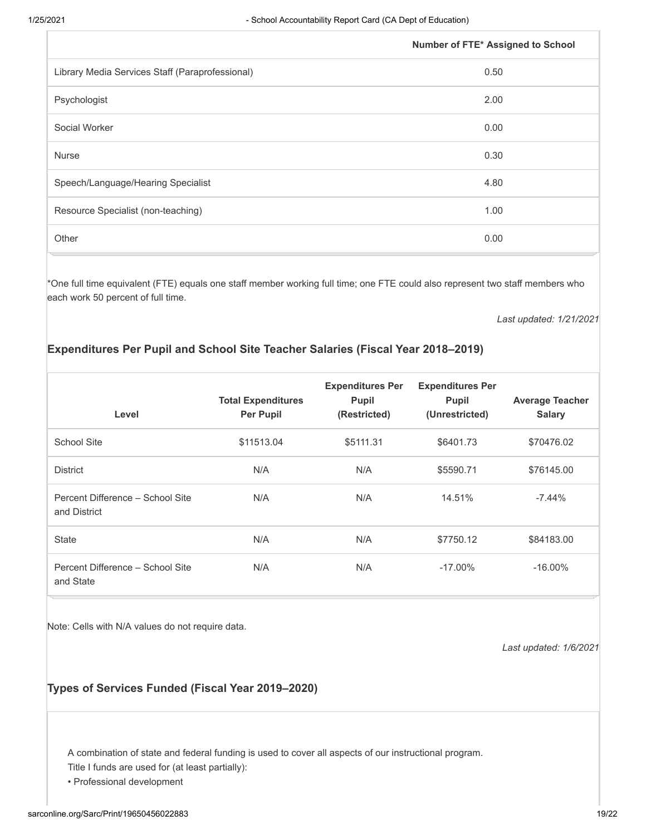|                                                 | Number of FTE* Assigned to School |
|-------------------------------------------------|-----------------------------------|
| Library Media Services Staff (Paraprofessional) | 0.50                              |
| Psychologist                                    | 2.00                              |
| Social Worker                                   | 0.00                              |
| <b>Nurse</b>                                    | 0.30                              |
| Speech/Language/Hearing Specialist              | 4.80                              |
| Resource Specialist (non-teaching)              | 1.00                              |
| Other                                           | 0.00                              |

\*One full time equivalent (FTE) equals one staff member working full time; one FTE could also represent two staff members who each work 50 percent of full time.

*Last updated: 1/21/2021*

#### **Expenditures Per Pupil and School Site Teacher Salaries (Fiscal Year 2018–2019)**

| Level                                            | <b>Total Expenditures</b><br><b>Per Pupil</b> | <b>Expenditures Per</b><br><b>Pupil</b><br>(Restricted) | <b>Expenditures Per</b><br><b>Pupil</b><br>(Unrestricted) | <b>Average Teacher</b><br><b>Salary</b> |
|--------------------------------------------------|-----------------------------------------------|---------------------------------------------------------|-----------------------------------------------------------|-----------------------------------------|
| School Site                                      | \$11513.04                                    | \$5111.31                                               | \$6401.73                                                 | \$70476.02                              |
| <b>District</b>                                  | N/A                                           | N/A                                                     | \$5590.71                                                 | \$76145.00                              |
| Percent Difference - School Site<br>and District | N/A                                           | N/A                                                     | 14.51%                                                    | $-7.44\%$                               |
| <b>State</b>                                     | N/A                                           | N/A                                                     | \$7750.12                                                 | \$84183.00                              |
| Percent Difference - School Site<br>and State    | N/A                                           | N/A                                                     | $-17.00\%$                                                | $-16.00\%$                              |

Note: Cells with N/A values do not require data.

*Last updated: 1/6/2021*

#### **Types of Services Funded (Fiscal Year 2019–2020)**

A combination of state and federal funding is used to cover all aspects of our instructional program.

Title I funds are used for (at least partially):

• Professional development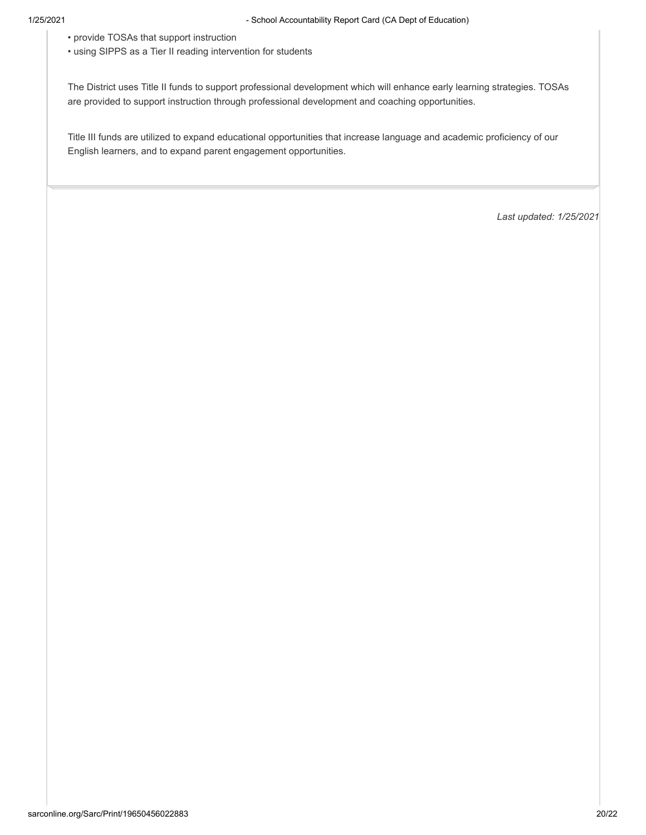- provide TOSAs that support instruction
- using SIPPS as a Tier II reading intervention for students

The District uses Title II funds to support professional development which will enhance early learning strategies. TOSAs are provided to support instruction through professional development and coaching opportunities.

Title III funds are utilized to expand educational opportunities that increase language and academic proficiency of our English learners, and to expand parent engagement opportunities.

*Last updated: 1/25/2021*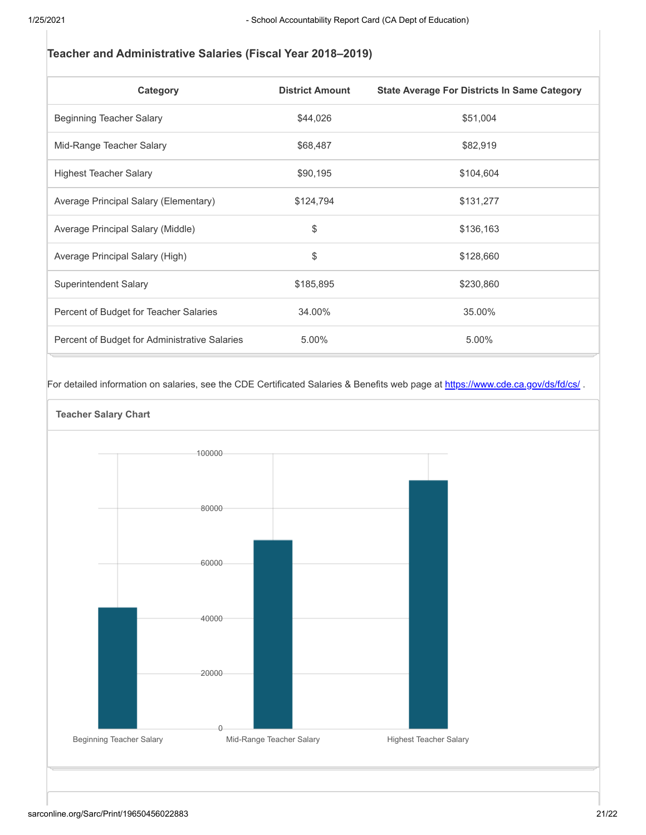#### **Teacher and Administrative Salaries (Fiscal Year 2018–2019)**

| Category                                      | <b>District Amount</b> | <b>State Average For Districts In Same Category</b> |
|-----------------------------------------------|------------------------|-----------------------------------------------------|
| Beginning Teacher Salary                      | \$44,026               | \$51,004                                            |
| Mid-Range Teacher Salary                      | \$68,487               | \$82,919                                            |
| <b>Highest Teacher Salary</b>                 | \$90,195               | \$104,604                                           |
| Average Principal Salary (Elementary)         | \$124,794              | \$131,277                                           |
| Average Principal Salary (Middle)             | \$                     | \$136,163                                           |
| Average Principal Salary (High)               | \$                     | \$128,660                                           |
| Superintendent Salary                         | \$185,895              | \$230,860                                           |
| Percent of Budget for Teacher Salaries        | 34.00%                 | 35.00%                                              |
| Percent of Budget for Administrative Salaries | 5.00%                  | 5.00%                                               |

For detailed information on salaries, see the CDE Certificated Salaries & Benefits web page at https://www.cde.ca.gov/ds/fd/cs/.